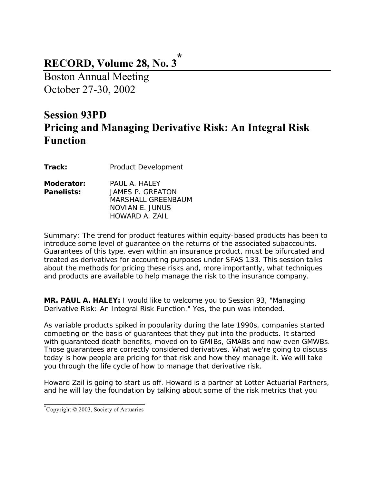### **RECORD, Volume 28, No. 3 \***

Boston Annual Meeting October 27-30, 2002

## **Session 93PD Pricing and Managing Derivative Risk: An Integral Risk Function**

**Track:** Product Development

| Moderator:        | PAULA HALFY        |
|-------------------|--------------------|
| <b>Panelists:</b> | JAMES P. GREATON   |
|                   | MARSHALL GREENBAUM |
|                   | NOVIAN E. JUNUS    |
|                   | HOWARD A. ZAIL     |

*Summary: The trend for product features within equity-based products has been to introduce some level of guarantee on the returns of the associated subaccounts. Guarantees of this type, even within an insurance product, must be bifurcated and treated as derivatives for accounting purposes under SFAS 133. This session talks about the methods for pricing these risks and, more importantly, what techniques and products are available to help manage the risk to the insurance company.* 

**MR. PAUL A. HALEY:** I would like to welcome you to Session 93, "Managing Derivative Risk: An Integral Risk Function." Yes, the pun was intended.

As variable products spiked in popularity during the late 1990s, companies started competing on the basis of guarantees that they put into the products. It started with guaranteed death benefits, moved on to GMIBs, GMABs and now even GMWBs. Those guarantees are correctly considered derivatives. What we're going to discuss today is how people are pricing for that risk and how they manage it. We will take you through the life cycle of how to manage that derivative risk.

Howard Zail is going to start us off. Howard is a partner at Lotter Actuarial Partners, and he will lay the foundation by talking about some of the risk metrics that you

\_\_\_\_\_\_\_\_\_\_\_\_\_\_\_\_\_\_\_\_\_\_\_\_\_\_\_\_\_\_\_\_\_ \* Copyright © 2003, Society of Actuaries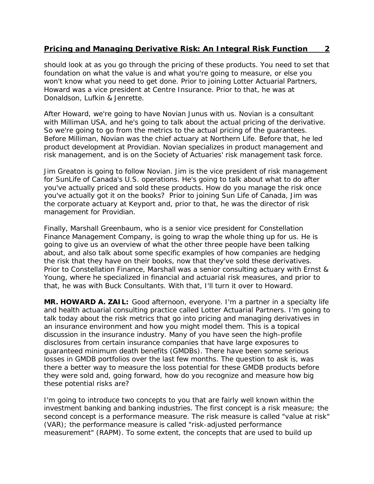should look at as you go through the pricing of these products. You need to set that foundation on what the value is and what you're going to measure, or else you won't know what you need to get done. Prior to joining Lotter Actuarial Partners, Howard was a vice president at Centre Insurance. Prior to that, he was at Donaldson, Lufkin & Jenrette.

After Howard, we're going to have Novian Junus with us. Novian is a consultant with Milliman USA, and he's going to talk about the actual pricing of the derivative. So we're going to go from the metrics to the actual pricing of the guarantees. Before Milliman, Novian was the chief actuary at Northern Life. Before that, he led product development at Providian. Novian specializes in product management and risk management, and is on the Society of Actuaries' risk management task force.

Jim Greaton is going to follow Novian. Jim is the vice president of risk management for SunLife of Canada's U.S. operations. He's going to talk about what to do after you've actually priced and sold these products. How do you manage the risk once you've actually got it on the books? Prior to joining Sun Life of Canada, Jim was the corporate actuary at Keyport and, prior to that, he was the director of risk management for Providian.

Finally, Marshall Greenbaum, who is a senior vice president for Constellation Finance Management Company, is going to wrap the whole thing up for us. He is going to give us an overview of what the other three people have been talking about, and also talk about some specific examples of how companies are hedging the risk that they have on their books, now that they've sold these derivatives. Prior to Constellation Finance, Marshall was a senior consulting actuary with Ernst & Young, where he specialized in financial and actuarial risk measures, and prior to that, he was with Buck Consultants. With that, I'll turn it over to Howard.

**MR. HOWARD A. ZAIL:** Good afternoon, everyone. I'm a partner in a specialty life and health actuarial consulting practice called Lotter Actuarial Partners. I'm going to talk today about the risk metrics that go into pricing and managing derivatives in an insurance environment and how you might model them. This is a topical discussion in the insurance industry. Many of you have seen the high-profile disclosures from certain insurance companies that have large exposures to guaranteed minimum death benefits (GMDBs). There have been some serious losses in GMDB portfolios over the last few months. The question to ask is, was there a better way to measure the loss potential for these GMDB products before they were sold and, going forward, how do you recognize and measure how big these potential risks are?

I'm going to introduce two concepts to you that are fairly well known within the investment banking and banking industries. The first concept is a risk measure; the second concept is a performance measure. The risk measure is called "value at risk" (VAR); the performance measure is called "risk-adjusted performance measurement" (RAPM). To some extent, the concepts that are used to build up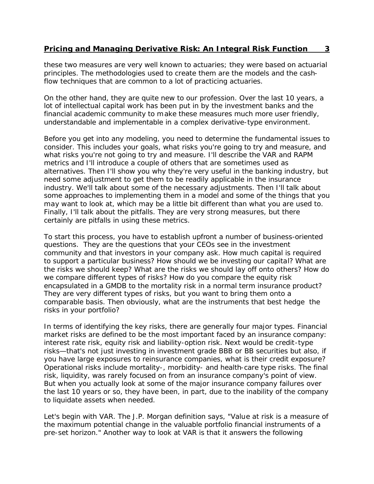these two measures are very well known to actuaries; they were based on actuarial principles. The methodologies used to create them are the models and the cashflow techniques that are common to a lot of practicing actuaries.

On the other hand, they are quite new to our profession. Over the last 10 years, a lot of intellectual capital work has been put in by the investment banks and the financial academic community to make these measures much more user friendly, understandable and implementable in a complex derivative-type environment.

Before you get into any modeling, you need to determine the fundamental issues to consider. This includes your goals, what risks you're going to try and measure, and what risks you're not going to try and measure. I'll describe the VAR and RAPM metrics and I'll introduce a couple of others that are sometimes used as alternatives. Then I'll show you why they're very useful in the banking industry, but need some adjustment to get them to be readily applicable in the insurance industry. We'll talk about some of the necessary adjustments. Then I'll talk about some approaches to implementing them in a model and some of the things that you may want to look at, which may be a little bit different than what you are used to. Finally, I'll talk about the pitfalls. They are very strong measures, but there certainly are pitfalls in using these metrics.

To start this process, you have to establish upfront a number of business-oriented questions. They are the questions that your CEOs see in the investment community and that investors in your company ask. How much capital is required to support a particular business? How should we be investing our capital? What are the risks we should keep? What are the risks we should lay off onto others? How do we compare different types of risks? How do you compare the equity risk encapsulated in a GMDB to the mortality risk in a normal term insurance product? They are very different types of risks, but you want to bring them onto a comparable basis. Then obviously, what are the instruments that best hedge the risks in your portfolio?

In terms of identifying the key risks, there are generally four major types. Financial market risks are defined to be the most important faced by an insurance company: interest rate risk, equity risk and liability-option risk. Next would be credit-type risks—that's not just investing in investment grade BBB or BB securities but also, if you have large exposures to reinsurance companies, what is their credit exposure? Operational risks include mortality-, morbidity- and health-care type risks. The final risk, liquidity, was rarely focused on from an insurance company's point of view. But when you actually look at some of the major insurance company failures over the last 10 years or so, they have been, in part, due to the inability of the company to liquidate assets when needed.

Let's begin with VAR. The J.P. Morgan definition says, "Value at risk is a measure of the maximum potential change in the valuable portfolio financial instruments of a pre-set horizon." Another way to look at VAR is that it answers the following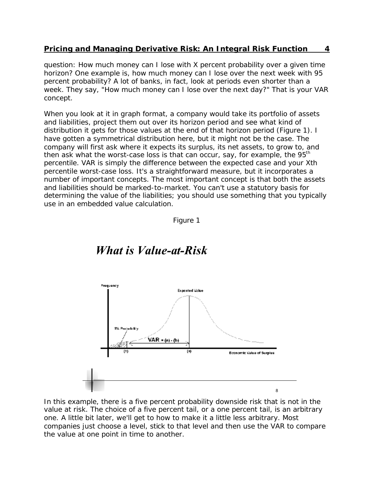question: How much money can I lose with X percent probability over a given time horizon? One example is, how much money can I lose over the next week with 95 percent probability? A lot of banks, in fact, look at periods even shorter than a week. They say, "How much money can I lose over the next day?" That is your VAR concept.

When you look at it in graph format, a company would take its portfolio of assets and liabilities, project them out over its horizon period and see what kind of distribution it gets for those values at the end of that horizon period (Figure 1). I have gotten a symmetrical distribution here, but it might not be the case. The company will first ask where it expects its surplus, its net assets, to grow to, and then ask what the worst-case loss is that can occur, say, for example, the  $95<sup>th</sup>$ percentile. VAR is simply the difference between the expected case and your Xth percentile worst-case loss. It's a straightforward measure, but it incorporates a number of important concepts. The most important concept is that both the assets and liabilities should be marked-to-market. You can't use a statutory basis for determining the value of the liabilities; you should use something that you typically use in an embedded value calculation.





## *What is Value-at-Risk*

In this example, there is a five percent probability downside risk that is not in the value at risk. The choice of a five percent tail, or a one percent tail, is an arbitrary one. A little bit later, we'll get to how to make it a little less arbitrary. Most companies just choose a level, stick to that level and then use the VAR to compare the value at one point in time to another.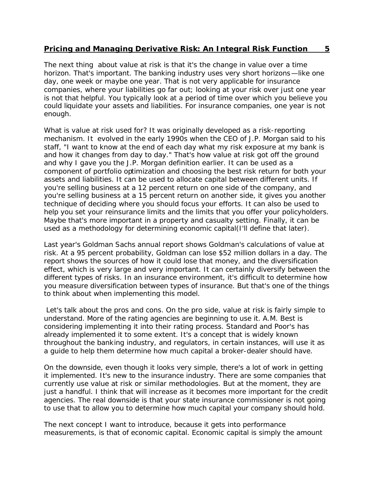The next thing about value at risk is that it's the change in value over a time horizon. That's important. The banking industry uses very short horizons—like one day, one week or maybe one year. That is not very applicable for insurance companies, where your liabilities go far out; looking at your risk over just one year is not that helpful. You typically look at a period of time over which you believe you could liquidate your assets and liabilities. For insurance companies, one year is not enough.

What is value at risk used for? It was originally developed as a risk-reporting mechanism. It evolved in the early 1990s when the CEO of J.P. Morgan said to his staff, "I want to know at the end of each day what my risk exposure at my bank is and how it changes from day to day." That's how value at risk got off the ground and why I gave you the J.P. Morgan definition earlier. It can be used as a component of portfolio optimization and choosing the best risk return for both your assets and liabilities. It can be used to allocate capital between different units. If you're selling business at a 12 percent return on one side of the company, and you're selling business at a 15 percent return on another side, it gives you another technique of deciding where you should focus your efforts. It can also be used to help you set your reinsurance limits and the limits that you offer your policyholders. Maybe that's more important in a property and casualty setting. Finally, it can be used as a methodology for determining economic capital(I'll define that later).

Last year's Goldman Sachs annual report shows Goldman's calculations of value at risk. At a 95 percent probability, Goldman can lose \$52 million dollars in a day. The report shows the sources of how it could lose that money, and the diversification effect, which is very large and very important. It can certainly diversify between the different types of risks. In an insurance environment, it's difficult to determine how you measure diversification between types of insurance. But that's one of the things to think about when implementing this model.

 Let's talk about the pros and cons. On the pro side, value at risk is fairly simple to understand. More of the rating agencies are beginning to use it. A.M. Best is considering implementing it into their rating process. Standard and Poor's has already implemented it to some extent. It's a concept that is widely known throughout the banking industry, and regulators, in certain instances, will use it as a guide to help them determine how much capital a broker-dealer should have.

On the downside, even though it looks very simple, there's a lot of work in getting it implemented. It's new to the insurance industry. There are some companies that currently use value at risk or similar methodologies. But at the moment, they are just a handful. I think that will increase as it becomes more important for the credit agencies. The real downside is that your state insurance commissioner is not going to use that to allow you to determine how much capital your company should hold.

The next concept I want to introduce, because it gets into performance measurements, is that of economic capital. Economic capital is simply the amount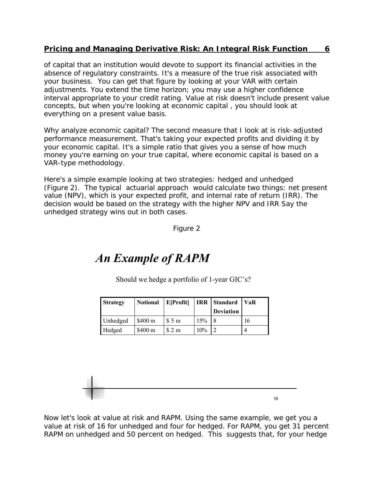of capital that an institution would devote to support its financial activities in the absence of regulatory constraints. It's a measure of the true risk associated with your business. You can get that figure by looking at your VAR with certain adjustments. You extend the time horizon; you may use a higher confidence interval appropriate to your credit rating. Value at risk doesn't include present value concepts, but when you're looking at economic capital , you should look at everything on a present value basis.

Why analyze economic capital? The second measure that I look at is risk-adjusted performance measurement. That's taking your expected profits and dividing it by your economic capital. It's a simple ratio that gives you a sense of how much money you're earning on your true capital, where economic capital is based on a VAR-type methodology.

Here's a simple example looking at two strategies: hedged and unhedged (Figure 2). The typical actuarial approach would calculate two things: net present value (NPV), which is your expected profit, and internal rate of return (IRR). The decision would be based on the strategy with the higher NPV and IRR Say the unhedged strategy wins out in both cases.

Figure 2

# *An Example of RAPM*

Should we hedge a portfolio of 1-year GIC's?

| <b>Strategy</b> | <b>Notional</b>    | E[Profit] |     | <b>IRR</b> Standard<br><b>Deviation</b> | VaR |
|-----------------|--------------------|-----------|-----|-----------------------------------------|-----|
| Unhedged        | \$400 <sub>m</sub> | \$5 m     | 15% |                                         | 16  |
| Hedged          | \$400 m            | \$2 m     | 10% |                                         |     |

Now let's look at value at risk and RAPM. Using the same example, we get you a value at risk of 16 for unhedged and four for hedged. For RAPM, you get 31 percent RAPM on unhedged and 50 percent on hedged. This suggests that, for your hedge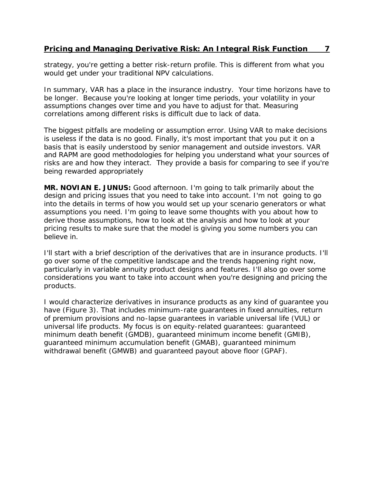strategy, you're getting a better risk-return profile. This is different from what you would get under your traditional NPV calculations.

In summary, VAR has a place in the insurance industry. Your time horizons have to be longer. Because you're looking at longer time periods, your volatility in your assumptions changes over time and you have to adjust for that. Measuring correlations among different risks is difficult due to lack of data.

The biggest pitfalls are modeling or assumption error. Using VAR to make decisions is useless if the data is no good. Finally, it's most important that you put it on a basis that is easily understood by senior management and outside investors. VAR and RAPM are good methodologies for helping you understand what your sources of risks are and how they interact. They provide a basis for comparing to see if you're being rewarded appropriately

**MR. NOVIAN E. JUNUS:** Good afternoon. I'm going to talk primarily about the design and pricing issues that you need to take into account. I'm not going to go into the details in terms of how you would set up your scenario generators or what assumptions you need. I'm going to leave some thoughts with you about how to derive those assumptions, how to look at the analysis and how to look at your pricing results to make sure that the model is giving you some numbers you can believe in.

I'll start with a brief description of the derivatives that are in insurance products. I'll go over some of the competitive landscape and the trends happening right now, particularly in variable annuity product designs and features. I'll also go over some considerations you want to take into account when you're designing and pricing the products.

I would characterize derivatives in insurance products as any kind of guarantee you have (Figure 3). That includes minimum-rate guarantees in fixed annuities, return of premium provisions and no-lapse guarantees in variable universal life (VUL) or universal life products. My focus is on equity-related guarantees: guaranteed minimum death benefit (GMDB), guaranteed minimum income benefit (GMIB), guaranteed minimum accumulation benefit (GMAB), guaranteed minimum withdrawal benefit (GMWB) and guaranteed payout above floor (GPAF).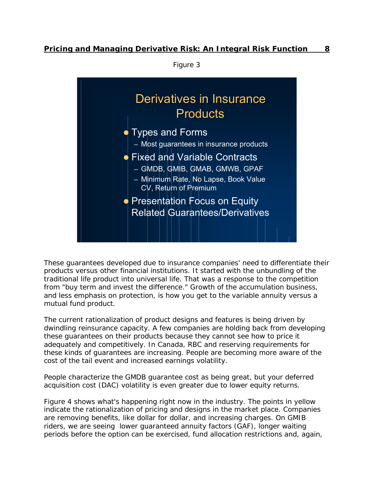

These guarantees developed due to insurance companies' need to differentiate their products versus other financial institutions. It started with the unbundling of the traditional life product into universal life. That was a response to the competition from "buy term and invest the difference." Growth of the accumulation business, and less emphasis on protection, is how you get to the variable annuity versus a mutual fund product.

The current rationalization of product designs and features is being driven by dwindling reinsurance capacity. A few companies are holding back from developing these guarantees on their products because they cannot see how to price it adequately and competitively. In Canada, RBC and reserving requirements for these kinds of guarantees are increasing. People are becoming more aware of the cost of the tail event and increased earnings volatility.

People characterize the GMDB guarantee cost as being great, but your deferred acquisition cost (DAC) volatility is even greater due to lower equity returns.

Figure 4 shows what's happening right now in the industry. The points in yellow indicate the rationalization of pricing and designs in the market place. Companies are removing benefits, like dollar for dollar, and increasing charges. On GMIB riders, we are seeing lower guaranteed annuity factors (GAF), longer waiting periods before the option can be exercised, fund allocation restrictions and, again,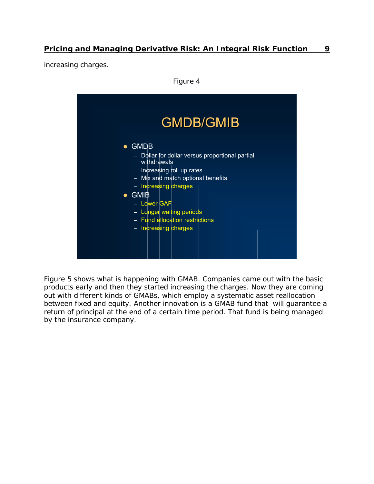increasing charges.

Figure 4



Figure 5 shows what is happening with GMAB. Companies came out with the basic products early and then they started increasing the charges. Now they are coming out with different kinds of GMABs, which employ a systematic asset reallocation between fixed and equity. Another innovation is a GMAB fund that will guarantee a return of principal at the end of a certain time period. That fund is being managed by the insurance company.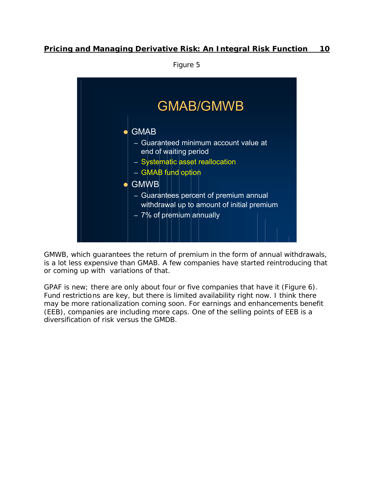GMAB/GMWB  $\bullet$  GMAB – Guaranteed minimum account value at end of waiting period – Systematic asset reallocation – GMAB fund option  $\bullet$  GMWB – Guarantees percent of premium annual withdrawal up to amount of initial premium – 7% of premium annually

GMWB, which guarantees the return of premium in the form of annual withdrawals, is a lot less expensive than GMAB. A few companies have started reintroducing that or coming up with variations of that.

GPAF is new; there are only about four or five companies that have it (Figure 6). Fund restrictions are key, but there is limited availability right now. I think there may be more rationalization coming soon. For earnings and enhancements benefit (EEB), companies are including more caps. One of the selling points of EEB is a diversification of risk versus the GMDB.

Figure 5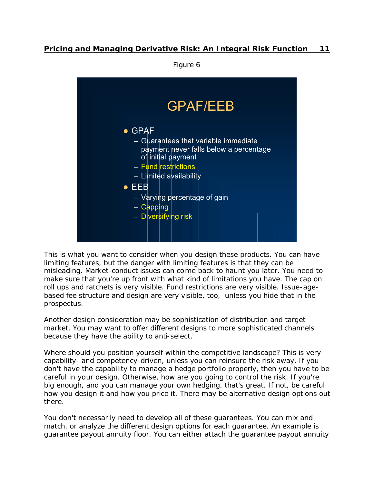Figure 6



This is what you want to consider when you design these products. You can have limiting features, but the danger with limiting features is that they can be misleading. Market-conduct issues can come back to haunt you later. You need to make sure that you're up front with what kind of limitations you have. The cap on roll ups and ratchets is very visible. Fund restrictions are very visible. Issue-agebased fee structure and design are very visible, too, unless you hide that in the prospectus.

Another design consideration may be sophistication of distribution and target market. You may want to offer different designs to more sophisticated channels because they have the ability to anti-select.

Where should you position yourself within the competitive landscape? This is very capability- and competency-driven, unless you can reinsure the risk away. If you don't have the capability to manage a hedge portfolio properly, then you have to be careful in your design. Otherwise, how are you going to control the risk. If you're big enough, and you can manage your own hedging, that's great. If not, be careful how you design it and how you price it. There may be alternative design options out there.

You don't necessarily need to develop all of these guarantees. You can mix and match, or analyze the different design options for each guarantee. An example is guarantee payout annuity floor. You can either attach the guarantee payout annuity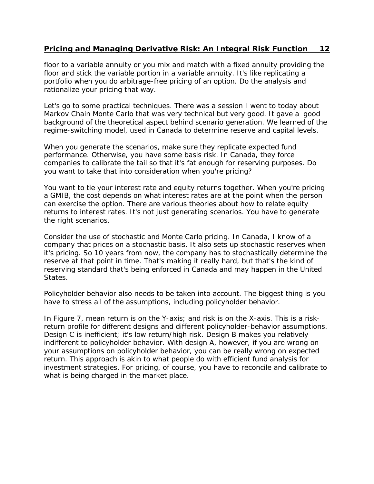floor to a variable annuity or you mix and match with a fixed annuity providing the floor and stick the variable portion in a variable annuity. It's like replicating a portfolio when you do arbitrage-free pricing of an option. Do the analysis and rationalize your pricing that way.

Let's go to some practical techniques. There was a session I went to today about Markov Chain Monte Carlo that was very technical but very good. It gave a good background of the theoretical aspect behind scenario generation. We learned of the regime-switching model, used in Canada to determine reserve and capital levels.

When you generate the scenarios, make sure they replicate expected fund performance. Otherwise, you have some basis risk. In Canada, they force companies to calibrate the tail so that it's fat enough for reserving purposes. Do you want to take that into consideration when you're pricing?

You want to tie your interest rate and equity returns together. When you're pricing a GMIB, the cost depends on what interest rates are at the point when the person can exercise the option. There are various theories about how to relate equity returns to interest rates. It's not just generating scenarios. You have to generate the right scenarios.

Consider the use of stochastic and Monte Carlo pricing. In Canada, I know of a company that prices on a stochastic basis. It also sets up stochastic reserves when it's pricing. So 10 years from now, the company has to stochastically determine the reserve at that point in time. That's making it really hard, but that's the kind of reserving standard that's being enforced in Canada and may happen in the United States.

Policyholder behavior also needs to be taken into account. The biggest thing is you have to stress all of the assumptions, including policyholder behavior.

In Figure 7, mean return is on the Y-axis; and risk is on the X-axis. This is a riskreturn profile for different designs and different policyholder-behavior assumptions. Design C is inefficient; it's low return/high risk. Design B makes you relatively indifferent to policyholder behavior. With design A, however, if you are wrong on your assumptions on policyholder behavior, you can be really wrong on expected return. This approach is akin to what people do with efficient fund analysis for investment strategies. For pricing, of course, you have to reconcile and calibrate to what is being charged in the market place.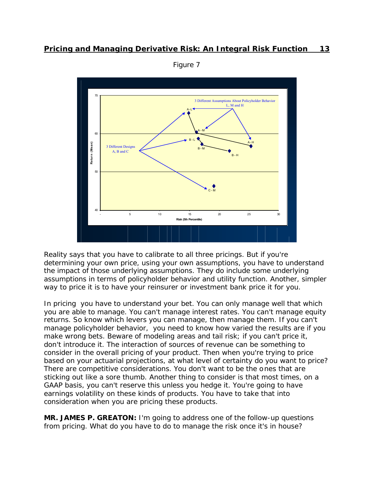

Figure 7

Reality says that you have to calibrate to all three pricings. But if you're determining your own price, using your own assumptions, you have to understand the impact of those underlying assumptions. They do include some underlying assumptions in terms of policyholder behavior and utility function. Another, simpler way to price it is to have your reinsurer or investment bank price it for you.

In pricing you have to understand your bet. You can only manage well that which you are able to manage. You can't manage interest rates. You can't manage equity returns. So know which levers you can manage, then manage them. If you can't manage policyholder behavior, you need to know how varied the results are if you make wrong bets. Beware of modeling areas and tail risk; if you can't price it, don't introduce it. The interaction of sources of revenue can be something to consider in the overall pricing of your product. Then when you're trying to price based on your actuarial projections, at what level of certainty do you want to price? There are competitive considerations. You don't want to be the ones that are sticking out like a sore thumb. Another thing to consider is that most times, on a GAAP basis, you can't reserve this unless you hedge it. You're going to have earnings volatility on these kinds of products. You have to take that into consideration when you are pricing these products.

**MR. JAMES P. GREATON:** I'm going to address one of the follow-up questions from pricing. What do you have to do to manage the risk once it's in house?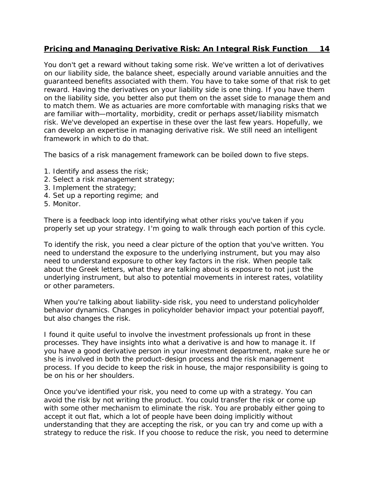You don't get a reward without taking some risk. We've written a lot of derivatives on our liability side, the balance sheet, especially around variable annuities and the guaranteed benefits associated with them. You have to take some of that risk to get reward. Having the derivatives on your liability side is one thing. If you have them on the liability side, you better also put them on the asset side to manage them and to match them. We as actuaries are more comfortable with managing risks that we are familiar with—mortality, morbidity, credit or perhaps asset/liability mismatch risk. We've developed an expertise in these over the last few years. Hopefully, we can develop an expertise in managing derivative risk. We still need an intelligent framework in which to do that.

The basics of a risk management framework can be boiled down to five steps.

- 1. Identify and assess the risk;
- 2. Select a risk management strategy;
- 3. Implement the strategy;
- 4. Set up a reporting regime; and
- 5. Monitor.

There is a feedback loop into identifying what other risks you've taken if you properly set up your strategy. I'm going to walk through each portion of this cycle.

To identify the risk, you need a clear picture of the option that you've written. You need to understand the exposure to the underlying instrument, but you may also need to understand exposure to other key factors in the risk. When people talk about the Greek letters, what they are talking about is exposure to not just the underlying instrument, but also to potential movements in interest rates, volatility or other parameters.

When you're talking about liability-side risk, you need to understand policyholder behavior dynamics. Changes in policyholder behavior impact your potential payoff, but also changes the risk.

I found it quite useful to involve the investment professionals up front in these processes. They have insights into what a derivative is and how to manage it. If you have a good derivative person in your investment department, make sure he or she is involved in both the product-design process and the risk management process. If you decide to keep the risk in house, the major responsibility is going to be on his or her shoulders.

Once you've identified your risk, you need to come up with a strategy. You can avoid the risk by not writing the product. You could transfer the risk or come up with some other mechanism to eliminate the risk. You are probably either going to accept it out flat, which a lot of people have been doing implicitly without understanding that they are accepting the risk, or you can try and come up with a strategy to reduce the risk. If you choose to reduce the risk, you need to determine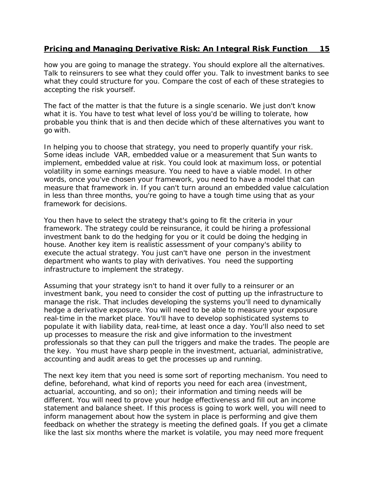how you are going to manage the strategy. You should explore all the alternatives. Talk to reinsurers to see what they could offer you. Talk to investment banks to see what they could structure for you. Compare the cost of each of these strategies to accepting the risk yourself.

The fact of the matter is that the future is a single scenario. We just don't know what it is. You have to test what level of loss you'd be willing to tolerate, how probable you think that is and then decide which of these alternatives you want to go with.

In helping you to choose that strategy, you need to properly quantify your risk. Some ideas include VAR, embedded value or a measurement that Sun wants to implement, embedded value at risk. You could look at maximum loss, or potential volatility in some earnings measure. You need to have a viable model. In other words, once you've chosen your framework, you need to have a model that can measure that framework in. If you can't turn around an embedded value calculation in less than three months, you're going to have a tough time using that as your framework for decisions.

You then have to select the strategy that's going to fit the criteria in your framework. The strategy could be reinsurance, it could be hiring a professional investment bank to do the hedging for you or it could be doing the hedging in house. Another key item is realistic assessment of your company's ability to execute the actual strategy. You just can't have one person in the investment department who wants to play with derivatives. You need the supporting infrastructure to implement the strategy.

Assuming that your strategy isn't to hand it over fully to a reinsurer or an investment bank, you need to consider the cost of putting up the infrastructure to manage the risk. That includes developing the systems you'll need to dynamically hedge a derivative exposure. You will need to be able to measure your exposure real-time in the market place. You'll have to develop sophisticated systems to populate it with liability data, real-time, at least once a day. You'll also need to set up processes to measure the risk and give information to the investment professionals so that they can pull the triggers and make the trades. The people are the key. You must have sharp people in the investment, actuarial, administrative, accounting and audit areas to get the processes up and running.

The next key item that you need is some sort of reporting mechanism. You need to define, beforehand, what kind of reports you need for each area (investment, actuarial, accounting, and so on); their information and timing needs will be different. You will need to prove your hedge effectiveness and fill out an income statement and balance sheet. If this process is going to work well, you will need to inform management about how the system in place is performing and give them feedback on whether the strategy is meeting the defined goals. If you get a climate like the last six months where the market is volatile, you may need more frequent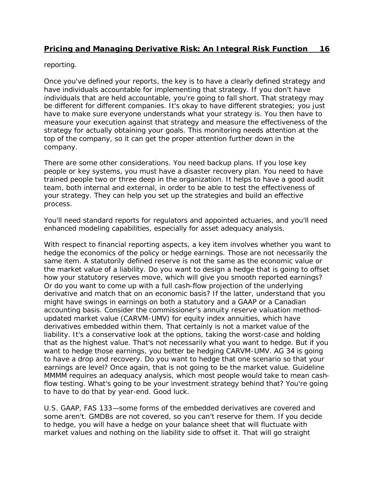reporting.

Once you've defined your reports, the key is to have a clearly defined strategy and have individuals accountable for implementing that strategy. If you don't have individuals that are held accountable, you're going to fall short. That strategy may be different for different companies. It's okay to have different strategies; you just have to make sure everyone understands what your strategy is. You then have to measure your execution against that strategy and measure the effectiveness of the strategy for actually obtaining your goals. This monitoring needs attention at the top of the company, so it can get the proper attention further down in the company.

There are some other considerations. You need backup plans. If you lose key people or key systems, you must have a disaster recovery plan. You need to have trained people two or three deep in the organization. It helps to have a good audit team, both internal and external, in order to be able to test the effectiveness of your strategy. They can help you set up the strategies and build an effective process.

You'll need standard reports for regulators and appointed actuaries, and you'll need enhanced modeling capabilities, especially for asset adequacy analysis.

With respect to financial reporting aspects, a key item involves whether you want to hedge the economics of the policy or hedge earnings. Those are not necessarily the same item. A statutorily defined reserve is not the same as the economic value or the market value of a liability. Do you want to design a hedge that is going to offset how your statutory reserves move, which will give you smooth reported earnings? Or do you want to come up with a full cash-flow projection of the underlying derivative and match that on an economic basis? If the latter, understand that you might have swings in earnings on both a statutory and a GAAP or a Canadian accounting basis. Consider the commissioner's annuity reserve valuation method– updated market value (CARVM-UMV) for equity index annuities, which have derivatives embedded within them. That certainly is not a market value of the liability. It's a conservative look at the options, taking the worst-case and holding that as the highest value. That's not necessarily what you want to hedge. But if you want to hedge those earnings, you better be hedging CARVM-UMV. AG 34 is going to have a drop and recovery. Do you want to hedge that one scenario so that your earnings are level? Once again, that is not going to be the market value. Guideline MMMM requires an adequacy analysis, which most people would take to mean cashflow testing. What's going to be your investment strategy behind that? You're going to have to do that by year-end. Good luck.

U.S. GAAP, FAS 133—some forms of the embedded derivatives are covered and some aren't. GMDBs are not covered, so you can't reserve for them. If you decide to hedge, you will have a hedge on your balance sheet that will fluctuate with market values and nothing on the liability side to offset it. That will go straight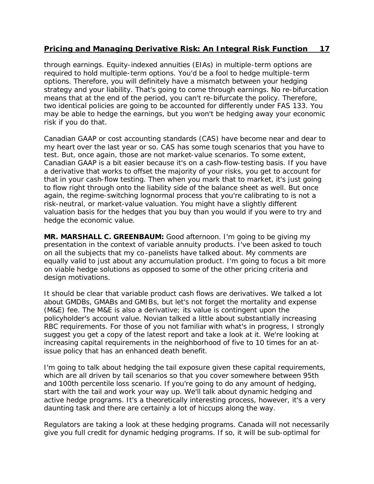through earnings. Equity-indexed annuities (EIAs) in multiple-term options are required to hold multiple-term options. You'd be a fool to hedge multiple-term options. Therefore, you will definitely have a mismatch between your hedging strategy and your liability. That's going to come through earnings. No re-bifurcation means that at the end of the period, you can't re-bifurcate the policy. Therefore, two identical policies are going to be accounted for differently under FAS 133. You may be able to hedge the earnings, but you won't be hedging away your economic risk if you do that.

Canadian GAAP or cost accounting standards (CAS) have become near and dear to my heart over the last year or so. CAS has some tough scenarios that you have to test. But, once again, those are not market-value scenarios. To some extent, Canadian GAAP is a bit easier because it's on a cash-flow-testing basis. If you have a derivative that works to offset the majority of your risks, you get to account for that in your cash-flow testing. Then when you mark that to market, it's just going to flow right through onto the liability side of the balance sheet as well. But once again, the regime-switching lognormal process that you're calibrating to is not a risk-neutral, or market-value valuation. You might have a slightly different valuation basis for the hedges that you buy than you would if you were to try and hedge the economic value.

**MR. MARSHALL C. GREENBAUM:** Good afternoon. I'm going to be giving my presentation in the context of variable annuity products. I've been asked to touch on all the subjects that my co-panelists have talked about. My comments are equally valid to just about any accumulation product. I'm going to focus a bit more on viable hedge solutions as opposed to some of the other pricing criteria and design motivations.

It should be clear that variable product cash flows are derivatives. We talked a lot about GMDBs, GMABs and GMIBs, but let's not forget the mortality and expense (M&E) fee. The M&E is also a derivative; its value is contingent upon the policyholder's account value. Novian talked a little about substantially increasing RBC requirements. For those of you not familiar with what's in progress, I strongly suggest you get a copy of the latest report and take a look at it. We're looking at increasing capital requirements in the neighborhood of five to 10 times for an atissue policy that has an enhanced death benefit.

I'm going to talk about hedging the tail exposure given these capital requirements, which are all driven by tail scenarios so that you cover somewhere between 95th and 100th percentile loss scenario. If you're going to do any amount of hedging, start with the tail and work your way up. We'll talk about dynamic hedging and active hedge programs. It's a theoretically interesting process, however, it's a very daunting task and there are certainly a lot of hiccups along the way.

Regulators are taking a look at these hedging programs. Canada will not necessarily give you full credit for dynamic hedging programs. If so, it will be sub-optimal for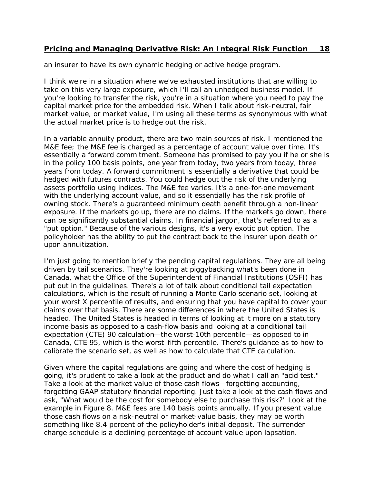an insurer to have its own dynamic hedging or active hedge program.

I think we're in a situation where we've exhausted institutions that are willing to take on this very large exposure, which I'll call an unhedged business model. If you're looking to transfer the risk, you're in a situation where you need to pay the capital market price for the embedded risk. When I talk about risk-neutral, fair market value, or market value, I'm using all these terms as synonymous with what the actual market price is to hedge out the risk.

In a variable annuity product, there are two main sources of risk. I mentioned the M&E fee; the M&E fee is charged as a percentage of account value over time. It's essentially a forward commitment. Someone has promised to pay you if he or she is in the policy 100 basis points, one year from today, two years from today, three years from today. A forward commitment is essentially a derivative that could be hedged with futures contracts. You could hedge out the risk of the underlying assets portfolio using indices. The M&E fee varies. It's a one-for-one movement with the underlying account value, and so it essentially has the risk profile of owning stock. There's a guaranteed minimum death benefit through a non-linear exposure. If the markets go up, there are no claims. If the markets go down, there can be significantly substantial claims. In financial jargon, that's referred to as a "put option." Because of the various designs, it's a very exotic put option. The policyholder has the ability to put the contract back to the insurer upon death or upon annuitization.

I'm just going to mention briefly the pending capital regulations. They are all being driven by tail scenarios. They're looking at piggybacking what's been done in Canada, what the Office of the Superintendent of Financial Institutions (OSFI) has put out in the guidelines. There's a lot of talk about conditional tail expectation calculations, which is the result of running a Monte Carlo scenario set, looking at your worst X percentile of results, and ensuring that you have capital to cover your claims over that basis. There are some differences in where the United States is headed. The United States is headed in terms of looking at it more on a statutory income basis as opposed to a cash-flow basis and looking at a conditional tail expectation (CTE) 90 calculation—the worst-10th percentile—as opposed to in Canada, CTE 95, which is the worst-fifth percentile. There's guidance as to how to calibrate the scenario set, as well as how to calculate that CTE calculation.

Given where the capital regulations are going and where the cost of hedging is going, it's prudent to take a look at the product and do what I call an "acid test." Take a look at the market value of those cash flows—forgetting accounting, forgetting GAAP statutory financial reporting. Just take a look at the cash flows and ask, "What would be the cost for somebody else to purchase this risk?" Look at the example in Figure 8. M&E fees are 140 basis points annually. If you present value those cash flows on a risk-neutral or market-value basis, they may be worth something like 8.4 percent of the policyholder's initial deposit. The surrender charge schedule is a declining percentage of account value upon lapsation.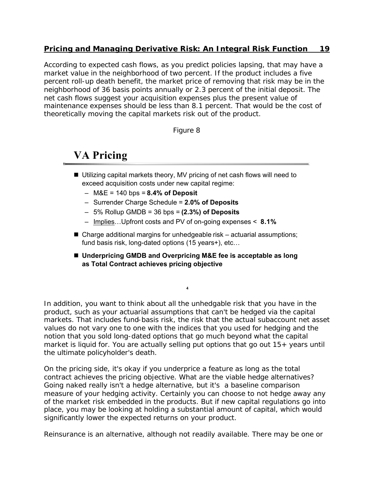According to expected cash flows, as you predict policies lapsing, that may have a market value in the neighborhood of two percent. If the product includes a five percent roll-up death benefit, the market price of removing that risk may be in the neighborhood of 36 basis points annually or 2.3 percent of the initial deposit. The net cash flows suggest your acquisition expenses plus the present value of maintenance expenses should be less than 8.1 percent. That would be the cost of theoretically moving the capital markets risk out of the product.

Figure 8

## **VA Pricing**

- Utilizing capital markets theory, MV pricing of net cash flows will need to exceed acquisition costs under new capital regime:
	- M&E = 140 bps = **8.4% of Deposit**
	- Surrender Charge Schedule = **2.0% of Deposits**
	- 5% Rollup GMDB = 36 bps = **(2.3%) of Deposits**
	- Implies…Upfront costs and PV of on-going expenses < **8.1%**
- $\blacksquare$  Charge additional margins for unhedgeable risk actuarial assumptions; fund basis risk, long-dated options (15 years+), etc…
- Underpricing GMDB and Overpricing M&E fee is acceptable as long **as Total Contract achieves pricing objective**

**4**

In addition, you want to think about all the unhedgable risk that you have in the product, such as your actuarial assumptions that can't be hedged via the capital markets. That includes fund-basis risk, the risk that the actual subaccount net asset values do not vary one to one with the indices that you used for hedging and the notion that you sold long-dated options that go much beyond what the capital market is liquid for. You are actually selling put options that go out  $15+$  years until the ultimate policyholder's death.

On the pricing side, it's okay if you underprice a feature as long as the total contract achieves the pricing objective. What are the viable hedge alternatives? Going naked really isn't a hedge alternative, but it's a baseline comparison measure of your hedging activity. Certainly you can choose to not hedge away any of the market risk embedded in the products. But if new capital regulations go into place, you may be looking at holding a substantial amount of capital, which would significantly lower the expected returns on your product.

Reinsurance is an alternative, although not readily available. There may be one or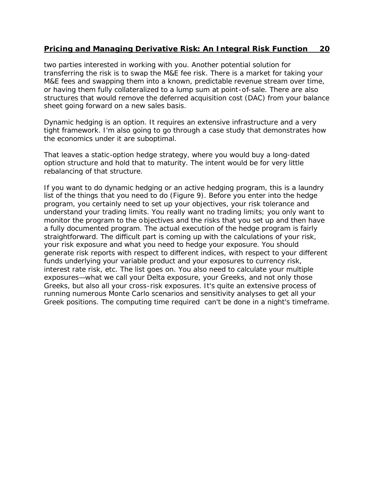two parties interested in working with you. Another potential solution for transferring the risk is to swap the M&E fee risk. There is a market for taking your M&E fees and swapping them into a known, predictable revenue stream over time, or having them fully collateralized to a lump sum at point-of-sale. There are also structures that would remove the deferred acquisition cost (DAC) from your balance sheet going forward on a new sales basis.

Dynamic hedging is an option. It requires an extensive infrastructure and a very tight framework. I'm also going to go through a case study that demonstrates how the economics under it are suboptimal.

That leaves a static-option hedge strategy, where you would buy a long-dated option structure and hold that to maturity. The intent would be for very little rebalancing of that structure.

If you want to do dynamic hedging or an active hedging program, this is a laundry list of the things that you need to do (Figure 9). Before you enter into the hedge program, you certainly need to set up your objectives, your risk tolerance and understand your trading limits. You really want no trading limits; you only want to monitor the program to the objectives and the risks that you set up and then have a fully documented program. The actual execution of the hedge program is fairly straightforward. The difficult part is coming up with the calculations of your risk, your risk exposure and what you need to hedge your exposure. You should generate risk reports with respect to different indices, with respect to your different funds underlying your variable product and your exposures to currency risk, interest rate risk, etc. The list goes on. You also need to calculate your multiple exposures—what we call your Delta exposure, your Greeks, and not only those Greeks, but also all your cross-risk exposures. It's quite an extensive process of running numerous Monte Carlo scenarios and sensitivity analyses to get all your Greek positions. The computing time required can't be done in a night's timeframe.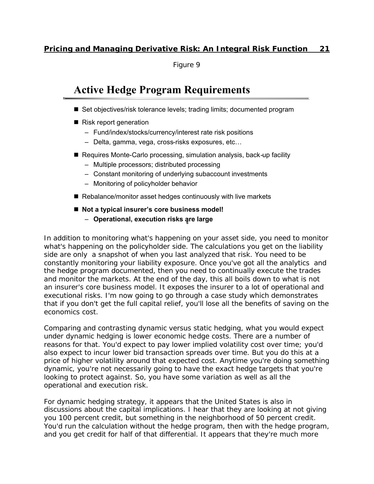Figure 9

## **Active Hedge Program Requirements**

- Set objectives/risk tolerance levels; trading limits; documented program
- $\blacksquare$  Risk report generation
	- Fund/index/stocks/currency/interest rate risk positions
	- Delta, gamma, vega, cross-risks exposures, etc…
- Requires Monte-Carlo processing, simulation analysis, back-up facility
	- Multiple processors; distributed processing
	- Constant monitoring of underlying subaccount investments
	- Monitoring of policyholder behavior
- $\blacksquare$  Rebalance/monitor asset hedges continuously with live markets
- Not a typical insurer's core business model!
	- **6 Operational, execution risks are large**

In addition to monitoring what's happening on your asset side, you need to monitor what's happening on the policyholder side. The calculations you get on the liability side are only a snapshot of when you last analyzed that risk. You need to be constantly monitoring your liability exposure. Once you've got all the analytics and the hedge program documented, then you need to continually execute the trades and monitor the markets. At the end of the day, this all boils down to what is not an insurer's core business model. It exposes the insurer to a lot of operational and executional risks. I'm now going to go through a case study which demonstrates that if you don't get the full capital relief, you'll lose all the benefits of saving on the economics cost.

Comparing and contrasting dynamic versus static hedging, what you would expect under dynamic hedging is lower economic hedge costs. There are a number of reasons for that. You'd expect to pay lower implied volatility cost over time; you'd also expect to incur lower bid transaction spreads over time. But you do this at a price of higher volatility around that expected cost. Anytime you're doing something dynamic, you're not necessarily going to have the exact hedge targets that you're looking to protect against. So, you have some variation as well as all the operational and execution risk.

For dynamic hedging strategy, it appears that the United States is also in discussions about the capital implications. I hear that they are looking at not giving you 100 percent credit, but something in the neighborhood of 50 percent credit. You'd run the calculation without the hedge program, then with the hedge program, and you get credit for half of that differential. It appears that they're much more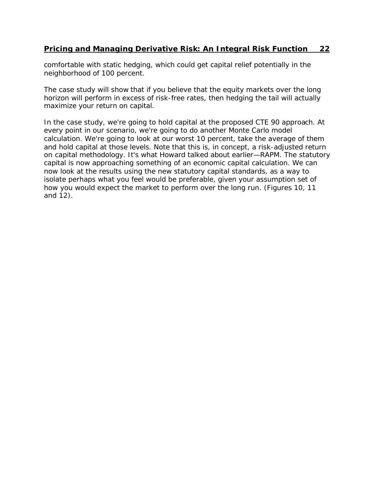comfortable with static hedging, which could get capital relief potentially in the neighborhood of 100 percent.

The case study will show that if you believe that the equity markets over the long horizon will perform in excess of risk-free rates, then hedging the tail will actually maximize your return on capital.

In the case study, we're going to hold capital at the proposed CTE 90 approach. At every point in our scenario, we're going to do another Monte Carlo model calculation. We're going to look at our worst 10 percent, take the average of them and hold capital at those levels. Note that this is, in concept, a risk-adjusted return on capital methodology. It's what Howard talked about earlier—RAPM. The statutory capital is now approaching something of an economic capital calculation. We can now look at the results using the new statutory capital standards, as a way to isolate perhaps what you feel would be preferable, given your assumption set of how you would expect the market to perform over the long run. (Figures 10, 11 and 12).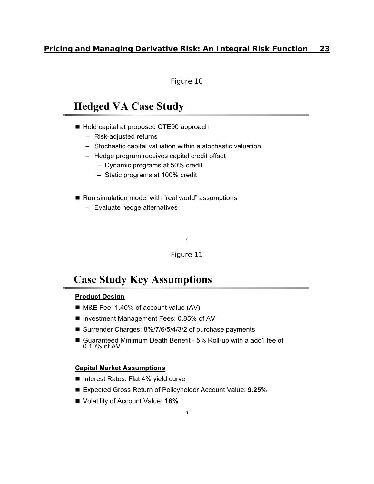Figure 10

## **Hedged VA Case Study**

- Hold capital at proposed CTE90 approach
	- Risk-adjusted returns
	- Stochastic capital valuation within a stochastic valuation
	- Hedge program receives capital credit offset
		- Dynamic programs at 50% credit
		- Static programs at 100% credit
- Run simulation model with "real world" assumptions
	- Evaluate hedge alternatives

Figure 11

**8**

## **Case Study Key Assumptions**

#### **Product Design**

- M&E Fee: 1.40% of account value (AV)
- Investment Management Fees: 0.85% of AV
- Surrender Charges: 8%/7/6/5/4/3/2 of purchase payments
- Guaranteed Minimum Death Benefit 5% Roll-up with a add'l fee of 0.10% of AV

#### **Capital Market Assumptions**

- Interest Rates: Flat 4% yield curve
- Expected Gross Return of Policyholder Account Value: 9.25%

**9**

■ Volatility of Account Value: 16%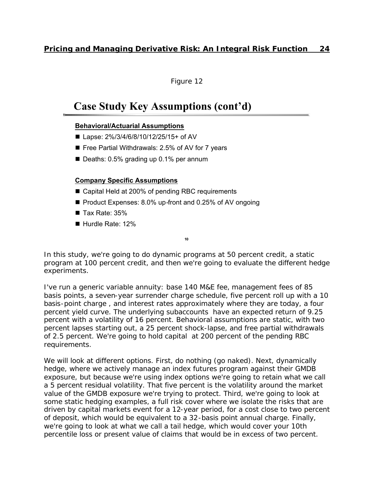Figure 12

## **Case Study Key Assumptions (cont'd)**

#### **Behavioral/Actuarial Assumptions**

- Lapse: 2%/3/4/6/8/10/12/25/15+ of AV
- $\blacksquare$  Free Partial Withdrawals: 2.5% of AV for 7 years
- $\blacksquare$  Deaths: 0.5% grading up 0.1% per annum

#### **Company Specific Assumptions**

- Capital Held at 200% of pending RBC requirements
- Product Expenses: 8.0% up-front and 0.25% of AV ongoing
- $\blacksquare$  Tax Rate: 35%
- Hurdle Rate: 12%

**10**

In this study, we're going to do dynamic programs at 50 percent credit, a static program at 100 percent credit, and then we're going to evaluate the different hedge experiments.

I've run a generic variable annuity: base 140 M&E fee, management fees of 85 basis points, a seven-year surrender charge schedule, five percent roll up with a 10 basis-point charge , and interest rates approximately where they are today, a four percent yield curve. The underlying subaccounts have an expected return of 9.25 percent with a volatility of 16 percent. Behavioral assumptions are static, with two percent lapses starting out, a 25 percent shock-lapse, and free partial withdrawals of 2.5 percent. We're going to hold capital at 200 percent of the pending RBC requirements.

We will look at different options. First, do nothing (go naked). Next, dynamically hedge, where we actively manage an index futures program against their GMDB exposure, but because we're using index options we're going to retain what we call a 5 percent residual volatility. That five percent is the volatility around the market value of the GMDB exposure we're trying to protect. Third, we're going to look at some static hedging examples, a full risk cover where we isolate the risks that are driven by capital markets event for a 12-year period, for a cost close to two percent of deposit, which would be equivalent to a 32-basis point annual charge. Finally, we're going to look at what we call a tail hedge, which would cover your 10th percentile loss or present value of claims that would be in excess of two percent.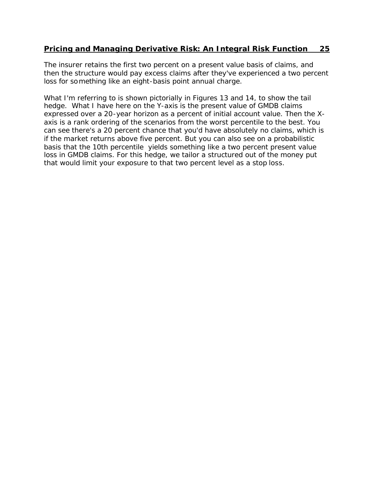The insurer retains the first two percent on a present value basis of claims, and then the structure would pay excess claims after they've experienced a two percent loss for something like an eight-basis point annual charge.

What I'm referring to is shown pictorially in Figures 13 and 14, to show the tail hedge. What I have here on the Y-axis is the present value of GMDB claims expressed over a 20-year horizon as a percent of initial account value. Then the Xaxis is a rank ordering of the scenarios from the worst percentile to the best. You can see there's a 20 percent chance that you'd have absolutely no claims, which is if the market returns above five percent. But you can also see on a probabilistic basis that the 10th percentile yields something like a two percent present value loss in GMDB claims. For this hedge, we tailor a structured out of the money put that would limit your exposure to that two percent level as a stop loss.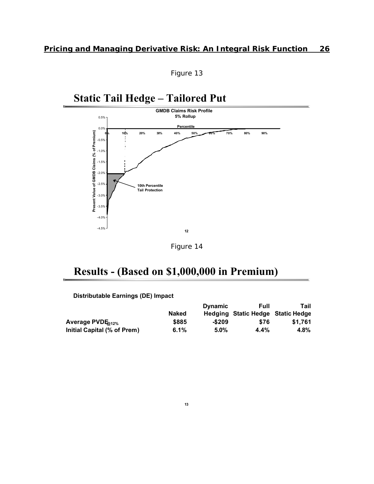

## **Static Tail Hedge – Tailored Put**





## **Results - (Based on \$1,000,000 in Premium)**

**Distributable Earnings (DE) Impact**

|                              |              | <b>Dynamic</b> | Full                              | Tail    |
|------------------------------|--------------|----------------|-----------------------------------|---------|
|                              | <b>Naked</b> |                | Hedging Static Hedge Static Hedge |         |
| Average PVDE <sub>012%</sub> | \$885        | -\$209         | \$76                              | \$1.761 |
| Initial Capital (% of Prem)  | 6.1%         | $5.0\%$        | 4.4%                              | 4.8%    |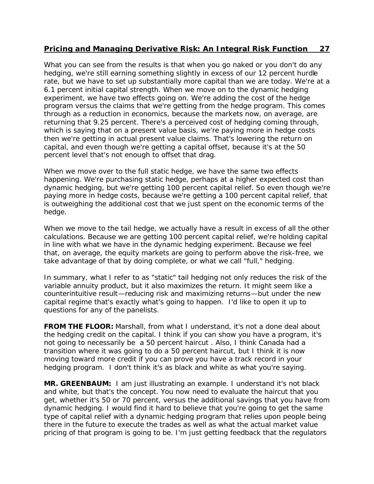What you can see from the results is that when you go naked or you don't do any hedging, we're still earning something slightly in excess of our 12 percent hurdle rate, but we have to set up substantially more capital than we are today. We're at a 6.1 percent initial capital strength. When we move on to the dynamic hedging experiment, we have two effects going on. We're adding the cost of the hedge program versus the claims that we're getting from the hedge program. This comes through as a reduction in economics, because the markets now, on average, are returning that 9.25 percent. There's a perceived cost of hedging coming through, which is saying that on a present value basis, we're paying more in hedge costs then we're getting in actual present value claims. That's lowering the return on capital, and even though we're getting a capital offset, because it's at the 50 percent level that's not enough to offset that drag.

When we move over to the full static hedge, we have the same two effects happening. We're purchasing static hedge, perhaps at a higher expected cost than dynamic hedging, but we're getting 100 percent capital relief. So even though we're paying more in hedge costs, because we're getting a 100 percent capital relief, that is outweighing the additional cost that we just spent on the economic terms of the hedge.

When we move to the tail hedge, we actually have a result in excess of all the other calculations. Because we are getting 100 percent capital relief, we're holding capital in line with what we have in the dynamic hedging experiment. Because we feel that, on average, the equity markets are going to perform above the risk-free, we take advantage of that by doing complete, or what we call "full," hedging.

In summary, what I refer to as "static" tail hedging not only reduces the risk of the variable annuity product, but it also maximizes the return. It might seem like a counterintuitive result—reducing risk and maximizing returns—but under the new capital regime that's exactly what's going to happen. I'd like to open it up to questions for any of the panelists.

**FROM THE FLOOR:** Marshall, from what I understand, it's not a done deal about the hedging credit on the capital. I think if you can show you have a program, it's not going to necessarily be a 50 percent haircut . Also, I think Canada had a transition where it was going to do a 50 percent haircut, but I think it is now moving toward more credit if you can prove you have a track record in your hedging program. I don't think it's as black and white as what you're saying.

**MR. GREENBAUM:** I am just illustrating an example. I understand it's not black and white, but that's the concept. You now need to evaluate the haircut that you get, whether it's 50 or 70 percent, versus the additional savings that you have from dynamic hedging. I would find it hard to believe that you're going to get the same type of capital relief with a dynamic hedging program that relies upon people being there in the future to execute the trades as well as what the actual market value pricing of that program is going to be. I'm just getting feedback that the regulators